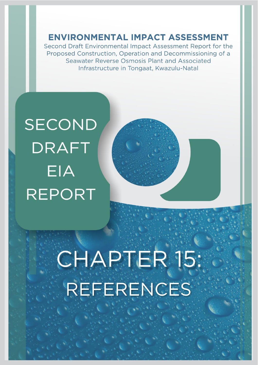**ENVIRONMENTAL IMPACT ASSESSMENT** 

Second Draft Environmental Impact Assessment Report for the Proposed Construction, Operation and Decommissioning of a Seawater Reverse Osmosis Plant and Associated Infrastructure in Tongaat, Kwazulu-Natal

## **SECOND DRAFT** EIA **REPORT**

## CHAPTER 15: REFERENCES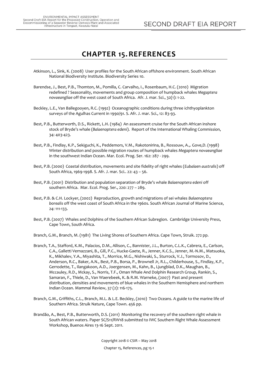## **CHAPTER 15.REFERENCES**

- Atkinson, L., Sink, K. (2008) User profiles for the South African offshore environment. South African National Biodiversity Institute. Biodiversity Series 10.
- Barendse, J., Best, P.B., Thomton, M., Pomilla, C. Carvalho, I., Rosenbaum, H.C. (2010) Migration redefined ? Seasonality, movements and group composition of humpback whales *Megaptera novaeangliae* off the west coast of South Africa. Afr. J. mar. Sci., 32(1): 1-22.
- Beckley, L.E., Van Ballegooyen, R.C. (1992) Oceanographic conditions during three ichthyoplankton surveys of the Agulhas Current in 1990/91. S. Afr. J. mar. Sci., 12: 83-93.
- Best, P.B., Butterworth, D.S., Rickett, L.H. (1984) An assessment cruise for the South African inshore stock of Bryde's whale (*Balaenoptera edeni*). Report of the International Whaling Commission, 34: 403-423.
- Best, P.B., Findlay, K.P., Sekiguchi, K., Peddemors, V.M., Rakotonirina, B., Rossouw, A.,. Gove,D. (1998) Winter distribution and possible migration routes of humpback whales *Megaptera novaeangliae* in the southwest Indian Ocean. Mar. Ecol. Prog. Ser. 162: 287 - 299.
- Best, P.B. (2000) Coastal distribution, movements and site fidelity of right whales (*Eubalaen australis*) off South Africa, 1969-1998. S. Afr. J. mar. Sci.. 22: 43 – 56.
- Best, P.B. (2001) Distribution and population separation of Bryde's whale *Balaenoptera edeni* off southern Africa. Mar. Ecol. Prog. Ser., 220: 277 – 289.
- Best, P.B. & C.H. Lockyer, (2002) Reproduction, growth and migrations of sei whales *Balaenoptera borealis* off the west coast of South Africa in the 1960s. South African Journal of Marine Science, 24: 111-133.
- Best, P.B. (2007) Whales and Dolphins of the Southern African Subregion. Cambridge University Press, Cape Town, South Africa.
- Branch, G.M., Branch, M. (1981) The Living Shores of Southern Africa. Cape Town, Struik. 272 pp.
- Branch, T.A., Stafford, K.M., Palacios, D.M., Allison, C., Bannister, J.L., Burton, C.L.K., Cabrera, E., Carlson, C.A., Galletti Vernazzani, B., Gill, P.C., Hucke-Gaete, R., Jenner, K.C.S., Jenner, M.-N.M., Matsuoka, K., Mikhalev, Y.A., Miyashita, T., Morrice, M.G., Nishiwaki, S., Sturrock, V.J., Tormosov, D., Anderson, R.C., Baker, A.N., Best, P.B., Borsa, P., Brownell Jr, R.L., Childerhouse, S., Findlay, K.P., Gerrodette, T., Ilangakoon, A.D., Joergensen, M., Kahn, B., Ljungblad, D.K., Maughan, B., Mccauley, R.D., Mckay, S., Norris, T.F., Oman Whale And Dolphin Research Group, Rankin, S., Samaran, F., Thiele, D., Van Waerebeek, K. & R.M. Warneke, (2007) Past and present distribution, densities and movements of blue whales in the Southern Hemisphere and northern Indian Ocean. Mammal Review, 37 (2): 116-175.
- Branch, G.M., Griffiths, C.L., Branch, M.L. & L.E. Beckley, (2010) Two Oceans. A guide to the marine life of Southern Africa. Struik Nature, Cape Town. 456 pp.
- Brandão, A., Best, P.B., Butterworth, D.S. (2011) Monitoring the recovery of the southern right whale in South African waters. Paper SC/S11/RW18 submitted to IWC Southern Right Whale Assessment Workshop, Buenos Aires 13-16 Sept. 2011.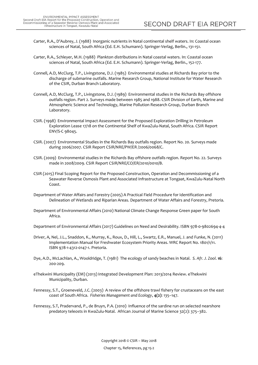- Carter, R.A., D'Aubrey, J. (1988) Inorganic nutrients in Natal continental shelf waters. In: Coastal ocean sciences of Natal, South Africa (Ed. E.H. Schumann). Springer-Verlag, Berlin., 131-151.
- Carter, R.A., Schleyer, M.H. (1988) Plankton distributions in Natal coastal waters. In: Coastal ocean sciences of Natal, South Africa (Ed. E.H. Schumann). Springer-Verlag, Berlin., 152-177.
- Connell, A.D, McClurg, T.P., Livingstone, D.J. (1985) Environmental studies at Richards Bay prior to the discharge of submarine outfalls. Marine Research Group, National Institute for Water Research of the CSIR, Durban Branch Laboratory.
- Connell, A.D, McClurg, T.P., Livingstone, D.J. (1989) Environmental studies in the Richards Bay offshore outfalls region. Part 2. Surveys made between 1985 and 1988. CSIR Division of Earth, Marine and Atmospheric Science and Technology, Marine Pollution Research Group, Durban Branch Laboratory.
- CSIR. (1998) Environmental Impact Assessment for the Proposed Exploration Drilling in Petroleum Exploration Lease 17/18 on the Continental Shelf of KwaZulu-Natal, South Africa. CSIR Report ENV/S-C 98045.
- CSIR. (2007) Environmental Studies in the Richards Bay outfalls region. Report No. 20. Surveys made during 2006/2007. CSIR Report CSIR/NRE/PW/ER /2006/0068/C.
- CSIR. (2009) Environmental studies in the Richards Bay offshore outfalls region. Report No. 22. Surveys made in 2008/2009. CSIR Report CSIR/NRE/CO/ER/2010/0010/B.
- CSIR (2015) Final Scoping Report for the Proposed Construction, Operation and Decommissioning of a Seawater Reverse Osmosis Plant and Associated Infrastructure at Tongaat, KwaZulu-Natal North Coast.
- Department of Water Affairs and Forestry (2005) A Practical Field Procedure for Identification and Delineation of Wetlands and Riparian Areas. Department of Water Affairs and Forestry, Pretoria.
- Department of Environmental Affairs (2010) National Climate Change Response Green paper for South Africa.
- Department of Environmental Affairs (2017) Guidelines on Need and Desirability. ISBN 978-0-9802694-4-4
- Driver, A, Nel, J.L., Snaddon, K., Murray, K., Roux, D., Hill, L., Swartz, E.R., Manuel, J. and Funke, N. (2011) Implementation Manual for Freshwater Ecosystem Priority Areas. WRC Report No. 1801/1/11. ISBN 978-1-4312-0147-1. Pretoria.
- Dye, A.D., McLachlan, A., Wooldridge, T. (1981) The ecology of sandy beaches in Natal. *S. Afr. J. Zool*. **16**: 200-209.
- eThekwini Municipality (EM) (2013) Integrated Development Plan: 2013/2014 Review. eThekwini Municipality, Durban.
- Fennessy, S.T., Groeneveld, J.C. (2003) A review of the offshore trawl fishery for crustaceans on the east coast of South Africa. *Fisheries Management and Ecology*, **4(2)**: 135–147.
- Fennessy, S.T, Pradervand, P., de Bruyn, P.A. (2010) Influence of the sardine run on selected nearshore predatory teleosts in KwaZulu-Natal. African Journal of Marine Science 32(2): 375–382.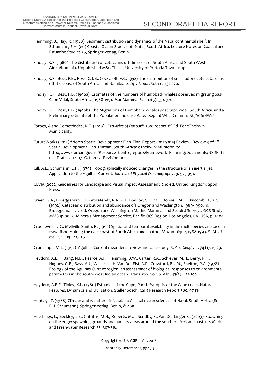- Flemming, B., Hay, R. (1988) Sediment distribution and dynamics of the Natal continental shelf. In: Schumann, E.H. (ed) Coastal Ocean Studies off Natal, South Africa, Lecture Notes on Coastal and Estuarine Studies 26, Springer-Verlag, Berlin.
- Findlay, K.P. (1989) The distribution of cetaceans off the coast of South Africa and South West Africa/Namibia. Unpublished MSc. Thesis, University of Pretoria Town. 110pp.
- Findlay, K.P., Best, P.B., Ross, G.J.B., Cockcroft, V.G. 1992) The distribution of small odonocete cetaceans off the coast of South Africa and Namibia. *S. Afr. J. mar. Sci.* **12** : 237-270.
- Findlay, K.P., Best, P.B. (1996a) Estimates of the numbers of humpback whales observed migrating past Cape Vidal, South Africa, 1988-1991. Mar Mammal Sci., 12(3): 354-370.
- Findlay, K.P., Best, P.B. (1996b) The Migrations of Humpback Whales past Cape Vidal, South Africa, and a Preliminary Estimate of the Population Increase Rate. Rep Int Whal Commn. SC/A06/HW16
- Forbes, A and Demetriades, N.T. (2010) "*Estuaries of Durban*" 2010 report 2nd Ed. For eThekwini Municipality.
- FutureWorks (2012) "North Spatial Development Plan Final Report 2012/2013 Review Review 3 of 4". Spatial Development Plan. Durban, South Africa: eThekwini Municipality. http://www.durban.gov.za/Resource\_Centre/reports/Framework\_Planning/Documents/NSDP\_Fi nal Draft 2012 17 Oct 2012 Revision.pdf.
- Gill, A.E., Schumann, E.H. (1979) Topographically induced changes in the structure of an inertial jet: Application to the Agulhas Current. *Journal of Physical Oceanography*, **9**: 975-991.
- GLVIA (2002) Guidelines for Landscape and Visual Impact Assessment. 2nd ed. United Kingdom: Spon Press.
- Green, G.A., Brueggeman, J.J., Grotefendt, R.A., C.E. Bowlby, C.E., M.L. Bonnell, M.L., Balcomb III., K.C. (1992) Cetacean distribution and abundance off Oregon and Washington, 1989-1990. In: Brueggeman, J.J. ed. Oregon and Washington Marine Mammal and Seabird Surveys. OCS Study MMS 91-0093. Minerals Management Service, Pacific OCS Region, Los Angeles, CA, USA, p. 1-100.
- Groeneveld, J.C., Mellville-Smith, R. (1995) Spatial and temporal availability in the multispecies crustacean trawl fishery along the east coast of South Africa and souther Mozambique, 1988-1993. S. Afr. J. mar. Sci.. 15: 123-136.
- Gründlingh, M.L. (1992) Agulhas Current meanders: review and case study. *S. Afr. Geogr. J.*, **74 (1)**: 19-29.
- Heydorn, A.E.F., Bang, N.D., Pearce, A.F., Flemming, B.W., Carter, R.A., Schleyer, M.H., Berry, P.F., Hughes, G.R., Bass, A.J., Wallace, J.H. Van Der Elst, R.P., Crawford, R.J.M., Shelton, P.A. (1978) Ecology of the Agulhas Current region: an assessmnet of biological responses to environmental parameters in the south- west Indian ocean. Trans. roy. Soc. S. Afr., 43(2) : 151-190.
- Heydorn, A.E.F., Tinley, K.L. (1980) Estuaries of the Cape, Part I. Synopsis of the Cape coast. Natural Features, Dynamics and Utilization. Stellenbosch, CSIR Research Report 380, 97 PP.
- Hunter, I.T. (1988) Climate and weather off Natal. In: Coastal ocean sciences of Natal, South Africa (Ed. E.H. Schumann). Springer-Verlag, Berlin, 81-100.
- Hutchings, L., Beckley, L.E., Griffiths, M.H., Roberts, M.J., Sundby, S., Van Der Lingen C. (2003) Spawning on the edge: spawning grounds and nursery areas around the southern African coastline. Marine and Freshwater Research 53: 307-318.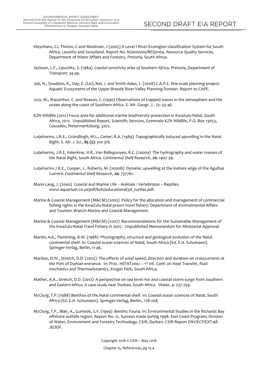- Kleynhans, CJ, Thirion, C and Moolman, J (2005) A Level I River Ecoregion classification System for South Africa, Lesotho and Swaziland. Report No. N/0000/00/REQ0104. Resource Quality Services, Department of Water Affairs and Forestry, Pretoria, South Africa.
- Jackson, L.F., Lipschitz, S. (1984) *Coastal sensitivity atlas of Southern Africa*. Pretoria, Department of Transport: 34 pp.
- Job, N., Snaddon, K., Day, E. (Liz), Nel, J. and Smith-Adao, L. (2008) C.A.P.E. fine-scale planning project: Aquatic Ecosystems of the Upper Breede River Valley Planning Domain. Report to CAPE.
- Jury, M., Macarthur, C. and Reason, C. (1990) Observations of trapped waves in the atmosphere and the ocean along the coast of Southern Africa. S. Afr. Geogr. J.. 72: 33-46.
- KZN Wildlife (2012) Focus area for additional marine biodiversity protection in KwaZulu-Natal, South Africa, 2012. Unpublished Report, Scientific Services, Ezemvelo KZN Wildlife, P.O. Box 13053, Cascades, Pietermaritzburg, 3202.
- Lutjeharms, J.R.E., Gründlingh, M.L., Carter, R.A. (1989) Topographically induced upwelling in the Natal Bight. *S. Afr. J. Sci.*, **85 (5)**: 310-316.
- Lutjeharms, J.R.E, Valentine, H.R., Van Ballegooyen, R.C. (2000a) The hydrography and water masses of the Natal Bight, South Africa. *Continental Shelf Research*, **20**: 1907-39.
- Lutjeharms J.R.E., Cooper, J., Roberts, M. (2000b) Dynamic upwelling at the inshore edge of the Agulhas Current. *Continental Shelf Research*, **20**: 737761.
- Mann-Lang, J. (2000) Coastal and Marine Life Animals : Vertebrates Reptiles. www.aquarium.co.za/pdf/kids/educational/3d\_turtles.pdf.
- Marine & Coastal Management (M&CM) (2005) Policy for the allocation and management of commercial fishing rights in the KwaZulu-Natal prawn trawl fishery: Department of environmental Affairs and Tourism: Branch Marine and Coastal Management.
- Marine & Coastal Management (M&CM) (2007) Recommendations for the Sustainable Management of the KwaZulu-Natal Trawl Fishery in 2007. Unpublished Memorandum for Ministerial Approval.
- Martin, A.K., Flemming, B.W. (1988) Physiography, structure and geological evolution of the Natal continental shelf. In: Coastal ocean sciences of Natal, South Africa (Ed. E.H. Schumann). Springer-Verlag, Berlin, 11-46.
- Mardon, D.W., Stretch, D.D. (2002) The effects of wind speed, direction and duration on crosscurrents at the Port of Durban entrance. In: Proc. HEFAT2002 – 1<sup>st</sup> Int. Conf. on Heat Transfer, fluid mechanics and Thermodynamics, Kruger Park, South Africa.
- Mather, A.A., Stretch, D.D. (2012) A perspective on sea level rise and coastal storm surge from Southern and Eastern Africa: A case study near Durban, South Africa. Water, 4: 237-259.
- McClurg, T.P. (1988) Benthos of the Natal continental shelf. In: Coastal ocean sciences of Natal, South Africa (Ed. E.H. Schumann). Springer-Verlag, Berlin., 178-208.
- McClurg, T.P., Blair, A., Gumede, S.V. (1999) Benthic Fauna. In: Environmental Studies in the Richards Bay offshore outfalls region. Report No. 12. Surveys made during 1998. East Coast Program; Division of Water, Environment and Forestry Technology; CSIR, Durban. CSIR Report ENV/ECP/EXT:98- JEOOF.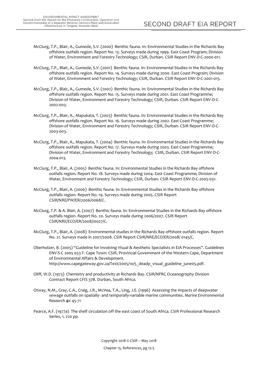- McClurg, T.P., Blair, A., Gumede, S.V. (2000) Benthic fauna. In: Environmental Studies in the Richards Bay offshore outfalls region. Report No. 13. Surveys made during 1999. East Coast Program; Division of Water, Environment and Forestry Technology; CSIR, Durban. CSIR Report ENV-D-C-2000-011.
- McClurg, T.P., Blair, A., Gumede, S.V. (2001) Benthic fauna. In: Environmental Studies in the Richards Bay offshore outfalls region. Report No. 14. Surveys made during 2000. East Coast Program; Division of Water, Environment and Forestry Technology; CSIR, Durban. CSIR Report ENV-D-C-2001-015.
- McClurg, T.P., Blair, A., Gumede, S.V. (2002) Benthic fauna. In: Environmental Studies in the Richards Bay offshore outfalls region. Report No. 15. Surveys made during 2001. East Coast Programme; Division of Water, Environment and Forestry Technology; CSIR, Durban. CSIR Report ENV-D-C-2002-003.
- McClurg, T.P., Blair, A., Mapukata, T. (2003) Benthic fauna. In: Environmental Studies in the Richards Bay offshore outfalls region. Report No. 16. Surveys made during 2002. East Coast Programme; Division of Water, Environment and Forestry Technology; CSIR, Durban. CSIR Report ENV-D-C-2003-003.
- McClurg, T.P., Blair, A., Mapukata, T. (2004) Benthic fauna. In: Environmental Studies in the Richards Bay offshore outfalls region. Report No. 17. Surveys made during 2003. East Coast Programme; Division of Water, Environment and Forestry Technology; CSIR, Durban. CSIR Report ENV-D-C-2004-013.
- McClurg, T.P., Blair, A. (2005) Benthic fauna. In: Environmental Studies in the Richards Bay offshore outfalls region. Report No. 18. Surveys made during 2004. East Coast Programme; Division of Water, Environment and Forestry Technology; CSIR, Durban. CSIR Report ENV-D-C-2005-031.
- McClurg, T.P., Blair, A. (2006) Benthic fauna. In: Environmental Studies in the Richards Bay offshore outfalls region. Report No. 19. Surveys made during 2005. CSIR Report CSIR/NRE/PW/ER/2006/0068/C.
- McClurg, T.P. & A. Blair, A. (2007) Benthic fauna. In: Environmental Studies in the Richards Bay offshore outfalls region. Report No. 20. Surveys made during 2006/2007. CSIR Report CSIR/NRE/ECO/ER/2008//0027/C.
- McClurg, T.P., Blair, A. (2008) Environmental studies in the Richards Bay offshore outfalls region. Report No. 21. Surveys made in 2007/2008. CSIR Report CSIR/NRE/ECO/ER/2008/ 0145/C.
- Oberholzer, B. (2005) "Guideline for Involving Visual & Aesthetic Specialists in EIA Processes". Guidelines ENV-S-C 2005 053 F. Cape Town: CSIR, Provincial Government of the Western Cape, Department of Environmental Affairs & Development. http://www.capegateway.gov.za/Text/2005/10/5\_deadp\_visual\_guideline\_june05.pdf.
- Oliff, W.D. (1973) Chemistry and productivity at Richards Bay. CSIR/NPRC Oceanography Division Contract Report CFIS 37B. Durban, South Africa.
- Otway, N.M., Gray, C.A., Craig, J.R., McVea, T.A., Ling, J.E. (1996) Assessing the impacts of deepwater sewage outfalls on spatially- and temporally-variable marine communities. *Marine Environmental Research* **41**: 45-71
- Pearce, A.F. (1977a) The shelf circulation off the east coast of South Africa. CSIR Professional Research Series, 1, 220 pp.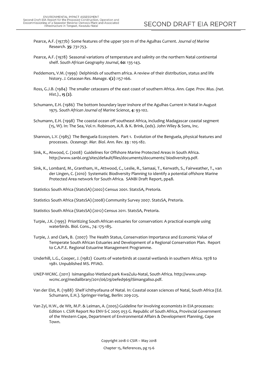- Pearce, A.F. (1977b) Some features of the upper 500 m of the Agulhas Current. *Journal of Marine Research*. **35**: 731-753.
- Pearce, A.F. (1978) Seasonal variations of temperature and salinity on the northern Natal continental shelf. *South African Geography Journal*, **60**: 135-143.
- Peddemors, V.M. (1999) Delphinids of southern africa. A review of their distribution, status and life history. *J. Cetacean Res. Manage*. **1(2)** :157-166.
- Ross, G.J.B. (1984) The smaller cetaceans of the east coast of southern Africa. *Ann. Cape. Prov. Mus. (nat. Hist.).*, **15 (2)**.
- Schumann, E.H. (1986) The bottom boundary layer inshore of the Agulhas Current in Natal in August 1975. *South African Journal of Marine Science*, **4**: 93-102.
- Schumann, E.H. (1998) The coastal ocean off southeast Africa, including Madagascar coastal segment (15, W). In: The Sea, Vol.11. Robinson, A.R. & K. Brink, (eds). John Wiley & Sons, Inc.
- Shannon, L.V. (1985) The Benguela Ecosystem. Part 1. Evolution of the Benguela, physical features and processes. *Oceanogr. Mar. Biol. Ann. Rev.* **23** : 105-182.
- Sink, K., Atwood, C. (2008) Guidelines for Offshore Marine Protected Areas in South Africa. http://www.sanbi.org/sites/default/files/documents/documents/ biodiversity9.pdf.
- Sink, K., Lombard, M., Grantham, H., Attwood, C., Leslie, R., Samaai, T., Kerwath, S., Fairweather, T., van der Lingen, C. (2010) Systematic Biodiversity Planning to identify a potential offshore Marine Protected Area network for South Africa. SANBI Draft Report, pp48.
- Statistics South Africa (StatsSA) (2002) Census 2001. StatsSA, Pretoria.
- Statistics South Africa (StatsSA) (2008) Community Survey 2007. StatsSA, Pretoria.
- Statistics South Africa (StatsSA) (2012) Census 2011. StatsSA, Pretoria.
- Turpie, J.K. (1995) Prioritizing South African estuaries for conservation: A practical example using waterbirds. Biol. Cons., 74: 175-185.
- Turpie, J. and Clark, B. (2007) The Health Status, Conservation Importance and Economic Value of Temperate South African Estuaries and Development of a Regional Conservation Plan. Report to C.A.P.E. Regional Estuarine Management Programme.
- Underhill, L.G., Cooper, J. (1982) Counts of waterbirds at coastal wetlands in southern Africa. 1978 to 1981. Unpublished MS. PFIAO.
- UNEP-WCMC. (2011) Isimangaliso Wetland park KwaZulu-Natal, South Africa. http://www.unepwcmc.org/medialibrary/2011/06/29/0efed969/iSimangaliso.pdf.
- Van der Elst, R. (1988) Shelf ichthyofauna of Natal. In: Coastal ocean sciences of Natal, South Africa (Ed. Schumann, E.H.). Springer-Verlag, Berlin: 209-225.
- Van Zyl, H.W., de Wit, M.P. & Leiman, A. (2005) Guideline for involving economists in EIA processes: Edition 1. CSIR Report No ENV-S-C 2005 053 G. Republic of South Africa, Provincial Government of the Western Cape, Department of Environmental Affairs & Development Planning, Cape Town.